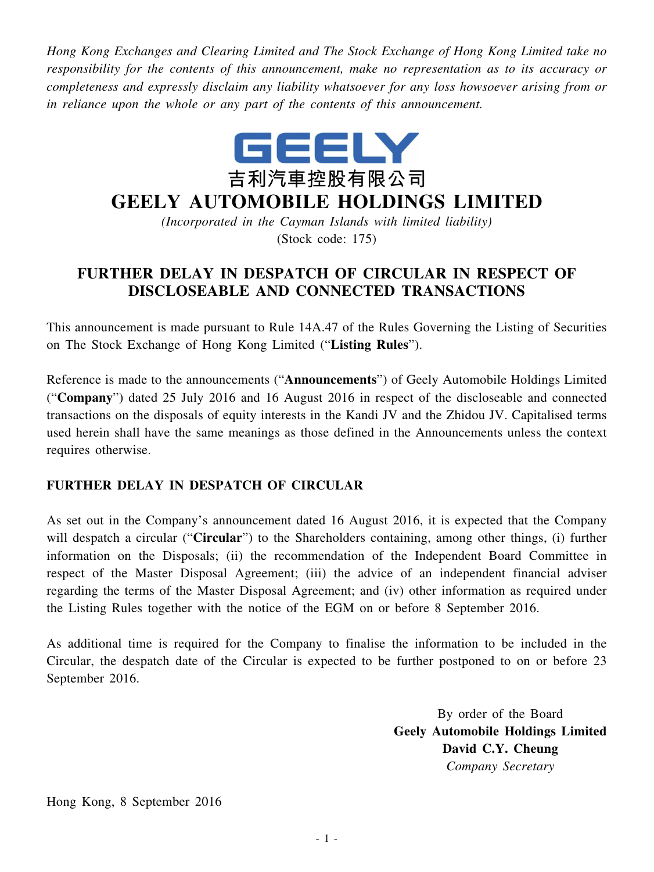*Hong Kong Exchanges and Clearing Limited and The Stock Exchange of Hong Kong Limited take no responsibility for the contents of this announcement, make no representation as to its accuracy or completeness and expressly disclaim any liability whatsoever for any loss howsoever arising from or in reliance upon the whole or any part of the contents of this announcement.*



## **GEELY AUTOMOBILE HOLDINGS LIMITED**

*(Incorporated in the Cayman Islands with limited liability)* (Stock code: 175)

## **FURTHER DELAY IN DESPATCH OF CIRCULAR IN RESPECT OF DISCLOSEABLE AND CONNECTED TRANSACTIONS**

This announcement is made pursuant to Rule 14A.47 of the Rules Governing the Listing of Securities on The Stock Exchange of Hong Kong Limited ("**Listing Rules**").

Reference is made to the announcements ("**Announcements**") of Geely Automobile Holdings Limited ("**Company**") dated 25 July 2016 and 16 August 2016 in respect of the discloseable and connected transactions on the disposals of equity interests in the Kandi JV and the Zhidou JV. Capitalised terms used herein shall have the same meanings as those defined in the Announcements unless the context requires otherwise.

## **FURTHER DELAY IN DESPATCH OF CIRCULAR**

As set out in the Company's announcement dated 16 August 2016, it is expected that the Company will despatch a circular ("**Circular**") to the Shareholders containing, among other things, (i) further information on the Disposals; (ii) the recommendation of the Independent Board Committee in respect of the Master Disposal Agreement; (iii) the advice of an independent financial adviser regarding the terms of the Master Disposal Agreement; and (iv) other information as required under the Listing Rules together with the notice of the EGM on or before 8 September 2016.

As additional time is required for the Company to finalise the information to be included in the Circular, the despatch date of the Circular is expected to be further postponed to on or before 23 September 2016.

> By order of the Board **Geely Automobile Holdings Limited David C.Y. Cheung** *Company Secretary*

Hong Kong, 8 September 2016